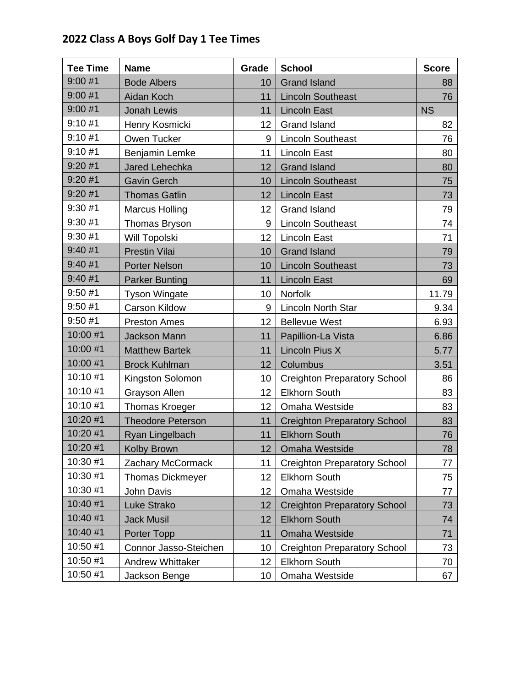## **2022 Class A Boys Golf Day 1 Tee Times**

| <b>Tee Time</b> | <b>Name</b>              | Grade           | <b>School</b>                       | <b>Score</b> |
|-----------------|--------------------------|-----------------|-------------------------------------|--------------|
| 9:00#1          | <b>Bode Albers</b>       | 10              | <b>Grand Island</b>                 | 88           |
| 9:00#1          | Aidan Koch               | 11              | <b>Lincoln Southeast</b>            | 76           |
| 9:00#1          | <b>Jonah Lewis</b>       | 11              | <b>Lincoln East</b>                 | <b>NS</b>    |
| 9:10#1          | Henry Kosmicki           | 12              | <b>Grand Island</b>                 | 82           |
| 9:10#1          | Owen Tucker              | 9               | <b>Lincoln Southeast</b>            | 76           |
| 9:10#1          | Benjamin Lemke           | 11              | <b>Lincoln East</b>                 | 80           |
| 9:20#1          | Jared Lehechka           | 12              | <b>Grand Island</b>                 | 80           |
| 9:20#1          | <b>Gavin Gerch</b>       | 10              | <b>Lincoln Southeast</b>            | 75           |
| 9:20#1          | <b>Thomas Gatlin</b>     | 12 <sup>2</sup> | <b>Lincoln East</b>                 | 73           |
| 9:30#1          | <b>Marcus Holling</b>    | 12              | <b>Grand Island</b>                 | 79           |
| 9:30#1          | Thomas Bryson            | 9               | <b>Lincoln Southeast</b>            | 74           |
| 9:30#1          | Will Topolski            | 12              | <b>Lincoln East</b>                 | 71           |
| 9:40#1          | <b>Prestin Vilai</b>     | 10              | <b>Grand Island</b>                 | 79           |
| 9:40#1          | <b>Porter Nelson</b>     | 10              | <b>Lincoln Southeast</b>            | 73           |
| 9:40#1          | <b>Parker Bunting</b>    | 11              | <b>Lincoln East</b>                 | 69           |
| 9:50#1          | <b>Tyson Wingate</b>     | 10              | Norfolk                             | 11.79        |
| 9:50#1          | <b>Carson Kildow</b>     | 9               | Lincoln North Star                  | 9.34         |
| 9:50#1          | <b>Preston Ames</b>      | 12              | <b>Bellevue West</b>                | 6.93         |
| 10:00 #1        | <b>Jackson Mann</b>      | 11              | Papillion-La Vista                  | 6.86         |
| 10:00 #1        | <b>Matthew Bartek</b>    | 11              | Lincoln Pius X                      | 5.77         |
| 10:00 #1        | <b>Brock Kuhlman</b>     | 12              | Columbus                            | 3.51         |
| 10:10 #1        | Kingston Solomon         | 10              | <b>Creighton Preparatory School</b> | 86           |
| 10:10 #1        | <b>Grayson Allen</b>     | 12              | <b>Elkhorn South</b>                | 83           |
| 10:10 #1        | Thomas Kroeger           | 12              | Omaha Westside                      | 83           |
| 10:20 #1        | <b>Theodore Peterson</b> | 11              | <b>Creighton Preparatory School</b> | 83           |
| 10:20 #1        | Ryan Lingelbach          | 11              | <b>Elkhorn South</b>                | 76           |
| 10:20 #1        | <b>Kolby Brown</b>       | 12              | <b>Omaha Westside</b>               | 78           |
| 10:30 #1        | Zachary McCormack        | 11              | <b>Creighton Preparatory School</b> | 77           |
| 10:30 #1        | <b>Thomas Dickmeyer</b>  | 12              | <b>Elkhorn South</b>                | 75           |
| 10:30 #1        | John Davis               | 12              | Omaha Westside                      | 77           |
| 10:40 #1        | Luke Strako              | 12              | <b>Creighton Preparatory School</b> | 73           |
| 10:40 #1        | <b>Jack Musil</b>        | 12              | <b>Elkhorn South</b>                | 74           |
| 10:40 #1        | Porter Topp              | 11              | <b>Omaha Westside</b>               | 71           |
| 10:50 #1        | Connor Jasso-Steichen    | 10              | <b>Creighton Preparatory School</b> | 73           |
| 10:50 #1        | <b>Andrew Whittaker</b>  | 12              | <b>Elkhorn South</b>                | 70           |
| 10:50 #1        | Jackson Benge            | 10              | Omaha Westside                      | 67           |